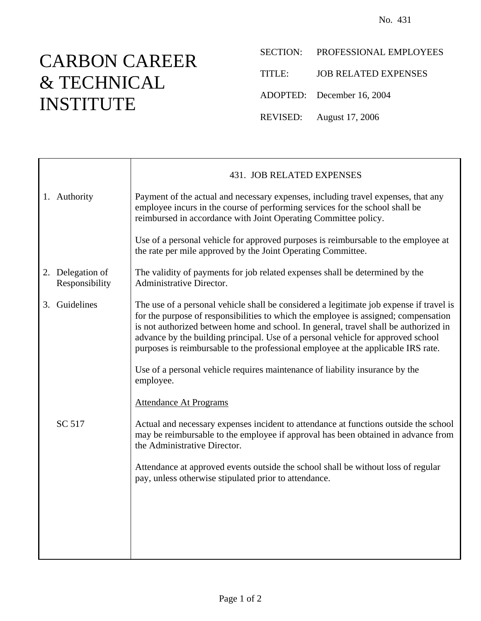## CARBON CAREER & TECHNICAL INSTITUTE

- SECTION: PROFESSIONAL EMPLOYEES
- TITLE: JOB RELATED EXPENSES
- ADOPTED: December 16, 2004
- REVISED: August 17, 2006

|                                    | 431. JOB RELATED EXPENSES                                                                                                                                                                                                                                                                                                                                                                                                                       |
|------------------------------------|-------------------------------------------------------------------------------------------------------------------------------------------------------------------------------------------------------------------------------------------------------------------------------------------------------------------------------------------------------------------------------------------------------------------------------------------------|
| 1. Authority                       | Payment of the actual and necessary expenses, including travel expenses, that any<br>employee incurs in the course of performing services for the school shall be<br>reimbursed in accordance with Joint Operating Committee policy.                                                                                                                                                                                                            |
|                                    | Use of a personal vehicle for approved purposes is reimbursable to the employee at<br>the rate per mile approved by the Joint Operating Committee.                                                                                                                                                                                                                                                                                              |
| 2. Delegation of<br>Responsibility | The validity of payments for job related expenses shall be determined by the<br>Administrative Director.                                                                                                                                                                                                                                                                                                                                        |
| 3. Guidelines                      | The use of a personal vehicle shall be considered a legitimate job expense if travel is<br>for the purpose of responsibilities to which the employee is assigned; compensation<br>is not authorized between home and school. In general, travel shall be authorized in<br>advance by the building principal. Use of a personal vehicle for approved school<br>purposes is reimbursable to the professional employee at the applicable IRS rate. |
|                                    | Use of a personal vehicle requires maintenance of liability insurance by the<br>employee.                                                                                                                                                                                                                                                                                                                                                       |
|                                    | <b>Attendance At Programs</b>                                                                                                                                                                                                                                                                                                                                                                                                                   |
| SC 517                             | Actual and necessary expenses incident to attendance at functions outside the school<br>may be reimbursable to the employee if approval has been obtained in advance from<br>the Administrative Director.                                                                                                                                                                                                                                       |
|                                    | Attendance at approved events outside the school shall be without loss of regular<br>pay, unless otherwise stipulated prior to attendance.                                                                                                                                                                                                                                                                                                      |
|                                    |                                                                                                                                                                                                                                                                                                                                                                                                                                                 |
|                                    |                                                                                                                                                                                                                                                                                                                                                                                                                                                 |
|                                    |                                                                                                                                                                                                                                                                                                                                                                                                                                                 |